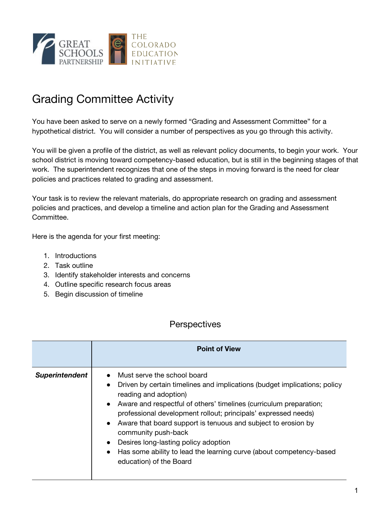

## Grading Committee Activity

You have been asked to serve on a newly formed "Grading and Assessment Committee" for a hypothetical district. You will consider a number of perspectives as you go through this activity.

You will be given a profile of the district, as well as relevant policy documents, to begin your work. Your school district is moving toward competency-based education, but is still in the beginning stages of that work. The superintendent recognizes that one of the steps in moving forward is the need for clear policies and practices related to grading and assessment.

Your task is to review the relevant materials, do appropriate research on grading and assessment policies and practices, and develop a timeline and action plan for the Grading and Assessment Committee.

Here is the agenda for your first meeting:

- 1. Introductions
- 2. Task outline
- 3. Identify stakeholder interests and concerns
- 4. Outline specific research focus areas
- 5. Begin discussion of timeline

## **Perspectives**

|                       | <b>Point of View</b>                                                                                                                                                                                                                                                                                                                                                                                                                                                                                                                                                         |
|-----------------------|------------------------------------------------------------------------------------------------------------------------------------------------------------------------------------------------------------------------------------------------------------------------------------------------------------------------------------------------------------------------------------------------------------------------------------------------------------------------------------------------------------------------------------------------------------------------------|
| <b>Superintendent</b> | Must serve the school board<br>Driven by certain timelines and implications (budget implications; policy<br>$\bullet$<br>reading and adoption)<br>Aware and respectful of others' timelines (curriculum preparation;<br>$\bullet$<br>professional development rollout; principals' expressed needs)<br>Aware that board support is tenuous and subject to erosion by<br>$\bullet$<br>community push-back<br>Desires long-lasting policy adoption<br>$\bullet$<br>Has some ability to lead the learning curve (about competency-based<br>$\bullet$<br>education) of the Board |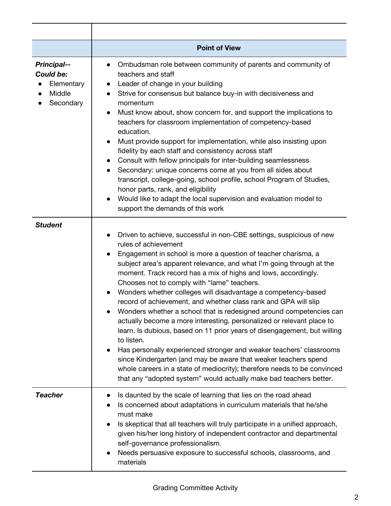|                                                                      | <b>Point of View</b>                                                                                                                                                                                                                                                                                                                                                                                                                                                                                                                                                                                                                                                                                                                                                                                                                                                                                                                                                                                                                                                                  |
|----------------------------------------------------------------------|---------------------------------------------------------------------------------------------------------------------------------------------------------------------------------------------------------------------------------------------------------------------------------------------------------------------------------------------------------------------------------------------------------------------------------------------------------------------------------------------------------------------------------------------------------------------------------------------------------------------------------------------------------------------------------------------------------------------------------------------------------------------------------------------------------------------------------------------------------------------------------------------------------------------------------------------------------------------------------------------------------------------------------------------------------------------------------------|
| <b>Principal--</b><br>Could be:<br>Elementary<br>Middle<br>Secondary | Ombudsman role between community of parents and community of<br>$\bullet$<br>teachers and staff<br>Leader of change in your building<br>Strive for consensus but balance buy-in with decisiveness and<br>$\bullet$<br>momentum<br>Must know about, show concern for, and support the implications to<br>$\bullet$<br>teachers for classroom implementation of competency-based<br>education.<br>Must provide support for implementation, while also insisting upon<br>fidelity by each staff and consistency across staff<br>Consult with fellow principals for inter-building seamlessness<br>Secondary: unique concerns come at you from all sides about<br>$\bullet$<br>transcript, college-going, school profile, school Program of Studies,<br>honor parts, rank, and eligibility<br>Would like to adapt the local supervision and evaluation model to<br>support the demands of this work                                                                                                                                                                                       |
| <b>Student</b>                                                       | Driven to achieve, successful in non-CBE settings, suspicious of new<br>$\bullet$<br>rules of achievement<br>Engagement in school is more a question of teacher charisma, a<br>$\bullet$<br>subject area's apparent relevance, and what I'm going through at the<br>moment. Track record has a mix of highs and lows, accordingly.<br>Chooses not to comply with "lame" teachers.<br>Wonders whether colleges will disadvantage a competency-based<br>$\bullet$<br>record of achievement, and whether class rank and GPA will slip<br>Wonders whether a school that is redesigned around competencies can<br>actually become a more interesting, personalized or relevant place to<br>learn. Is dubious, based on 11 prior years of disengagement, but willing<br>to listen.<br>Has personally experienced stronger and weaker teachers' classrooms<br>$\bullet$<br>since Kindergarten (and may be aware that weaker teachers spend<br>whole careers in a state of mediocrity); therefore needs to be convinced<br>that any "adopted system" would actually make bad teachers better. |
| <b>Teacher</b>                                                       | Is daunted by the scale of learning that lies on the road ahead<br>$\bullet$<br>Is concerned about adaptations in curriculum materials that he/she<br>$\bullet$<br>must make<br>Is skeptical that all teachers will truly participate in a unified approach,<br>given his/her long history of independent contractor and departmental<br>self-governance professionalism.<br>Needs persuasive exposure to successful schools, classrooms, and<br>materials                                                                                                                                                                                                                                                                                                                                                                                                                                                                                                                                                                                                                            |